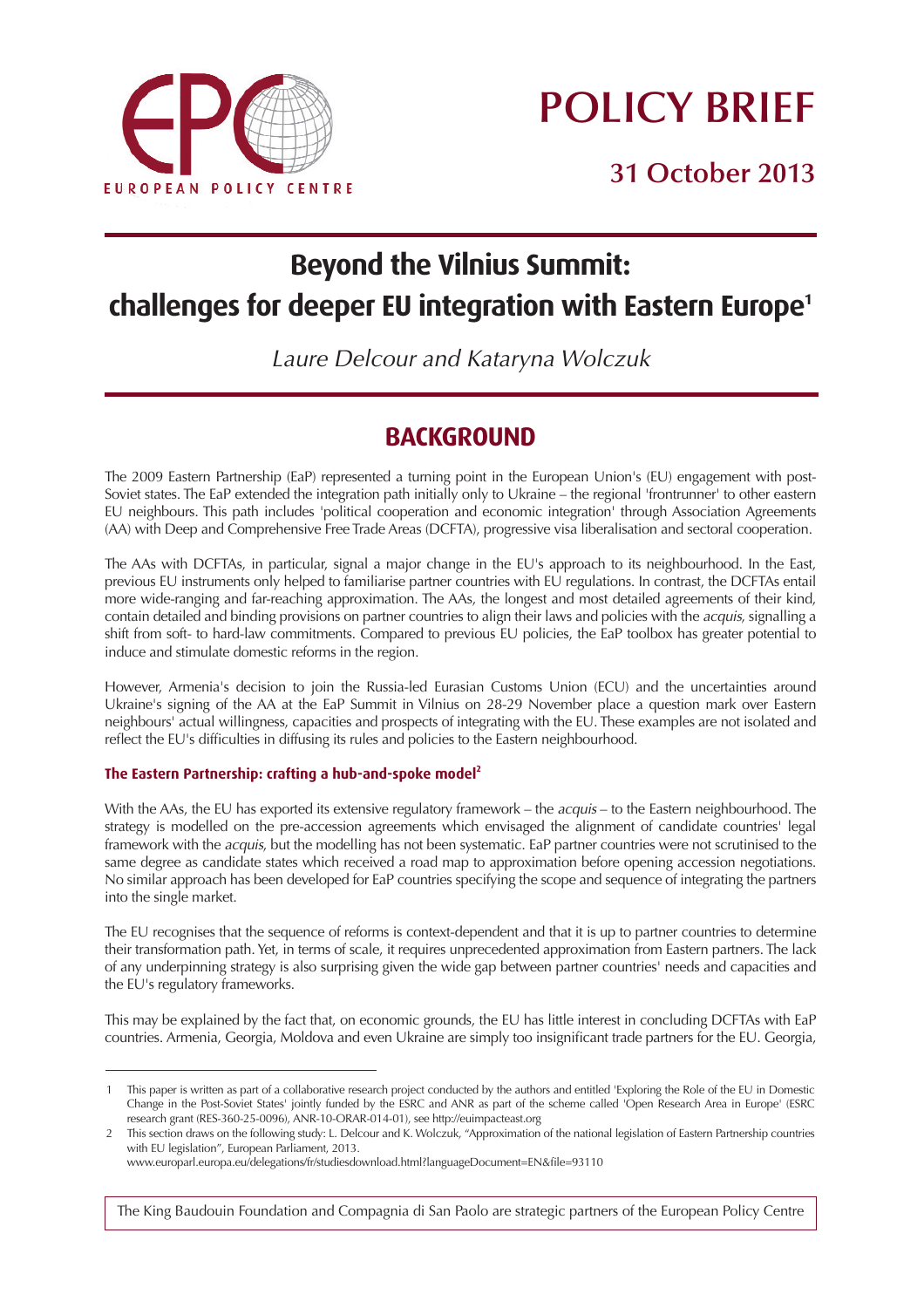

# **POLICY BRIEF**

**31 October 2013**

## **Beyond the Vilnius Summit: challenges for deeper EU integration with Eastern Europe1**

Laure Delcour and Kataryna Wolczuk

## **BACKGROUND**

The 2009 Eastern Partnership (EaP) represented a turning point in the European Union's (EU) engagement with post-Soviet states. The EaP extended the integration path initially only to Ukraine – the regional 'frontrunner' to other eastern EU neighbours. This path includes 'political cooperation and economic integration' through Association Agreements (AA) with Deep and Comprehensive Free Trade Areas (DCFTA), progressive visa liberalisation and sectoral cooperation.

The AAs with DCFTAs, in particular, signal a major change in the EU's approach to its neighbourhood. In the East, previous EU instruments only helped to familiarise partner countries with EU regulations. In contrast, the DCFTAs entail more wide-ranging and far-reaching approximation. The AAs, the longest and most detailed agreements of their kind, contain detailed and binding provisions on partner countries to align their laws and policies with the acquis, signalling a shift from soft- to hard-law commitments. Compared to previous EU policies, the EaP toolbox has greater potential to induce and stimulate domestic reforms in the region.

However, Armenia's decision to join the Russia-led Eurasian Customs Union (ECU) and the uncertainties around Ukraine's signing of the AA at the EaP Summit in Vilnius on 28-29 November place a question mark over Eastern neighbours' actual willingness, capacities and prospects of integrating with the EU. These examples are not isolated and reflect the EU's difficulties in diffusing its rules and policies to the Eastern neighbourhood.

#### **The Eastern Partnership: crafting a hub-and-spoke model2**

With the AAs, the EU has exported its extensive regulatory framework – the acquis – to the Eastern neighbourhood. The strategy is modelled on the pre-accession agreements which envisaged the alignment of candidate countries' legal framework with the *acquis*, but the modelling has not been systematic. EaP partner countries were not scrutinised to the same degree as candidate states which received a road map to approximation before opening accession negotiations. No similar approach has been developed for EaP countries specifying the scope and sequence of integrating the partners into the single market.

The EU recognises that the sequence of reforms is context-dependent and that it is up to partner countries to determine their transformation path. Yet, in terms of scale, it requires unprecedented approximation from Eastern partners. The lack of any underpinning strategy is also surprising given the wide gap between partner countries' needs and capacities and the EU's regulatory frameworks.

This may be explained by the fact that, on economic grounds, the EU has little interest in concluding DCFTAs with EaP countries. Armenia, Georgia, Moldova and even Ukraine are simply too insignificant trade partners for the EU. Georgia,

The King Baudouin Foundation and Compagnia di San Paolo are strategic partners of the European Policy Centre

<sup>1</sup> This paper is written as part of a collaborative research project conducted by the authors and entitled 'Exploring the Role of the EU in Domestic Change in the Post-Soviet States' jointly funded by the ESRC and ANR as part of the scheme called 'Open Research Area in Europe' (ESRC research grant (RES-360-25-0096), ANR-10-ORAR-014-01), see http://euimpacteast.org

<sup>2</sup> This section draws on the following study: L. Delcour and K. Wolczuk, "Approximation of the national legislation of Eastern Partnership countries with EU legislation", European Parliament, 2013.

www.europarl.europa.eu/delegations/fr/studiesdownload.html?languageDocument=EN&file=93110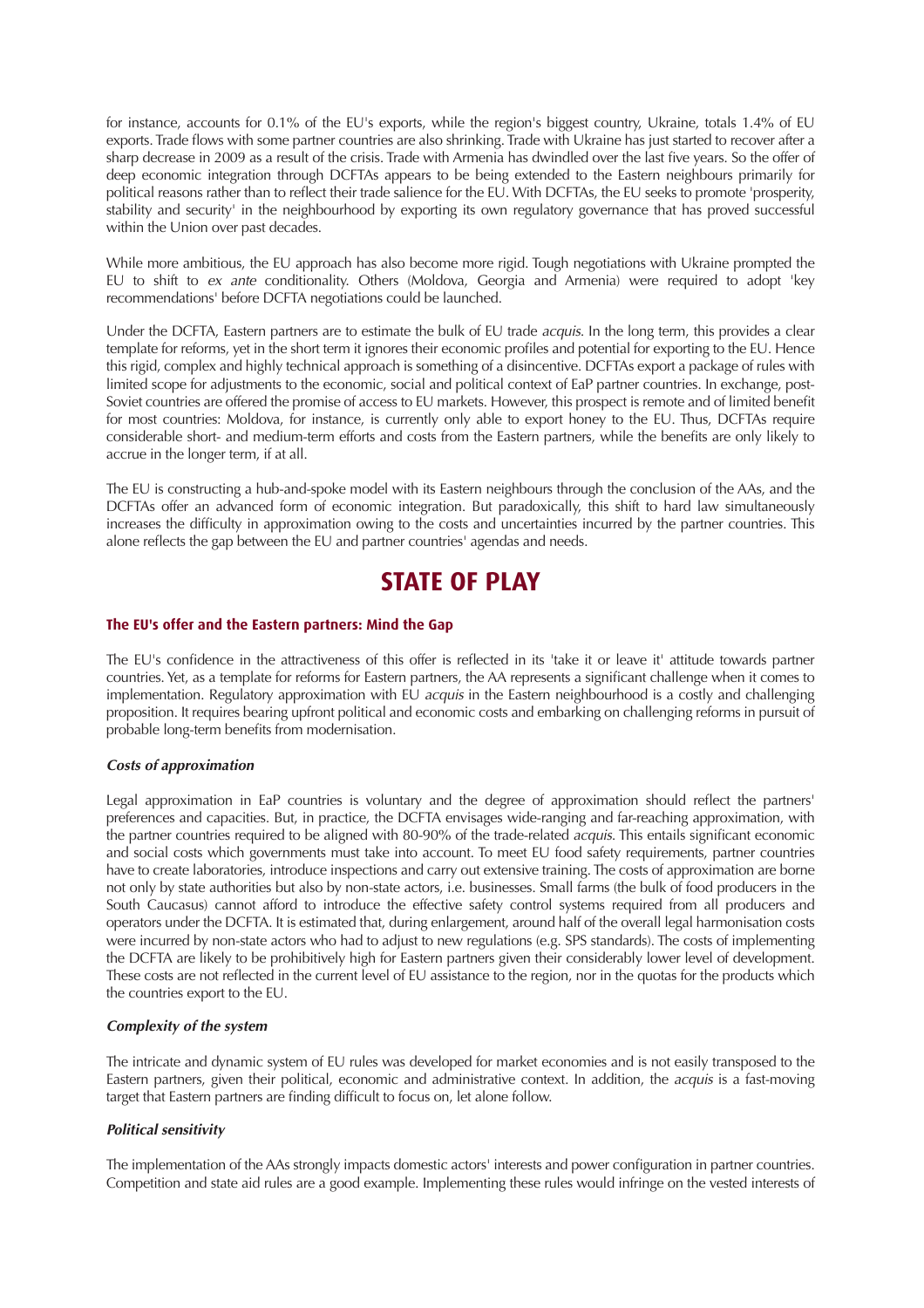for instance, accounts for 0.1% of the EU's exports, while the region's biggest country, Ukraine, totals 1.4% of EU exports. Trade flows with some partner countries are also shrinking. Trade with Ukraine has just started to recover after a sharp decrease in 2009 as a result of the crisis. Trade with Armenia has dwindled over the last five years. So the offer of deep economic integration through DCFTAs appears to be being extended to the Eastern neighbours primarily for political reasons rather than to reflect their trade salience for the EU. With DCFTAs, the EU seeks to promote 'prosperity, stability and security' in the neighbourhood by exporting its own regulatory governance that has proved successful within the Union over past decades.

While more ambitious, the EU approach has also become more rigid. Tough negotiations with Ukraine prompted the EU to shift to ex ante conditionality. Others (Moldova, Georgia and Armenia) were required to adopt 'key recommendations' before DCFTA negotiations could be launched.

Under the DCFTA, Eastern partners are to estimate the bulk of EU trade *acquis*. In the long term, this provides a clear template for reforms, yet in the short term it ignores their economic profiles and potential for exporting to the EU. Hence this rigid, complex and highly technical approach is something of a disincentive. DCFTAs export a package of rules with limited scope for adjustments to the economic, social and political context of EaP partner countries. In exchange, post-Soviet countries are offered the promise of access to EU markets. However, this prospect is remote and of limited benefit for most countries: Moldova, for instance, is currently only able to export honey to the EU. Thus, DCFTAs require considerable short- and medium-term efforts and costs from the Eastern partners, while the benefits are only likely to accrue in the longer term, if at all.

The EU is constructing a hub-and-spoke model with its Eastern neighbours through the conclusion of the AAs, and the DCFTAs offer an advanced form of economic integration. But paradoxically, this shift to hard law simultaneously increases the difficulty in approximation owing to the costs and uncertainties incurred by the partner countries. This alone reflects the gap between the EU and partner countries' agendas and needs.

### **STATE OF PLAY**

#### **The EU's offer and the Eastern partners: Mind the Gap**

The EU's confidence in the attractiveness of this offer is reflected in its 'take it or leave it' attitude towards partner countries. Yet, as a template for reforms for Eastern partners, the AA represents a significant challenge when it comes to implementation. Regulatory approximation with EU acquis in the Eastern neighbourhood is a costly and challenging proposition. It requires bearing upfront political and economic costs and embarking on challenging reforms in pursuit of probable long-term benefits from modernisation.

#### **Costs of approximation**

Legal approximation in EaP countries is voluntary and the degree of approximation should reflect the partners' preferences and capacities. But, in practice, the DCFTA envisages wide-ranging and far-reaching approximation, with the partner countries required to be aligned with 80-90% of the trade-related *acquis*. This entails significant economic and social costs which governments must take into account. To meet EU food safety requirements, partner countries have to create laboratories, introduce inspections and carry out extensive training. The costs of approximation are borne not only by state authorities but also by non-state actors, i.e. businesses. Small farms (the bulk of food producers in the South Caucasus) cannot afford to introduce the effective safety control systems required from all producers and operators under the DCFTA. It is estimated that, during enlargement, around half of the overall legal harmonisation costs were incurred by non-state actors who had to adjust to new regulations (e.g. SPS standards). The costs of implementing the DCFTA are likely to be prohibitively high for Eastern partners given their considerably lower level of development. These costs are not reflected in the current level of EU assistance to the region, nor in the quotas for the products which the countries export to the EU.

#### **Complexity of the system**

The intricate and dynamic system of EU rules was developed for market economies and is not easily transposed to the Eastern partners, given their political, economic and administrative context. In addition, the acquis is a fast-moving target that Eastern partners are finding difficult to focus on, let alone follow.

#### **Political sensitivity**

The implementation of the AAs strongly impacts domestic actors' interests and power configuration in partner countries. Competition and state aid rules are a good example. Implementing these rules would infringe on the vested interests of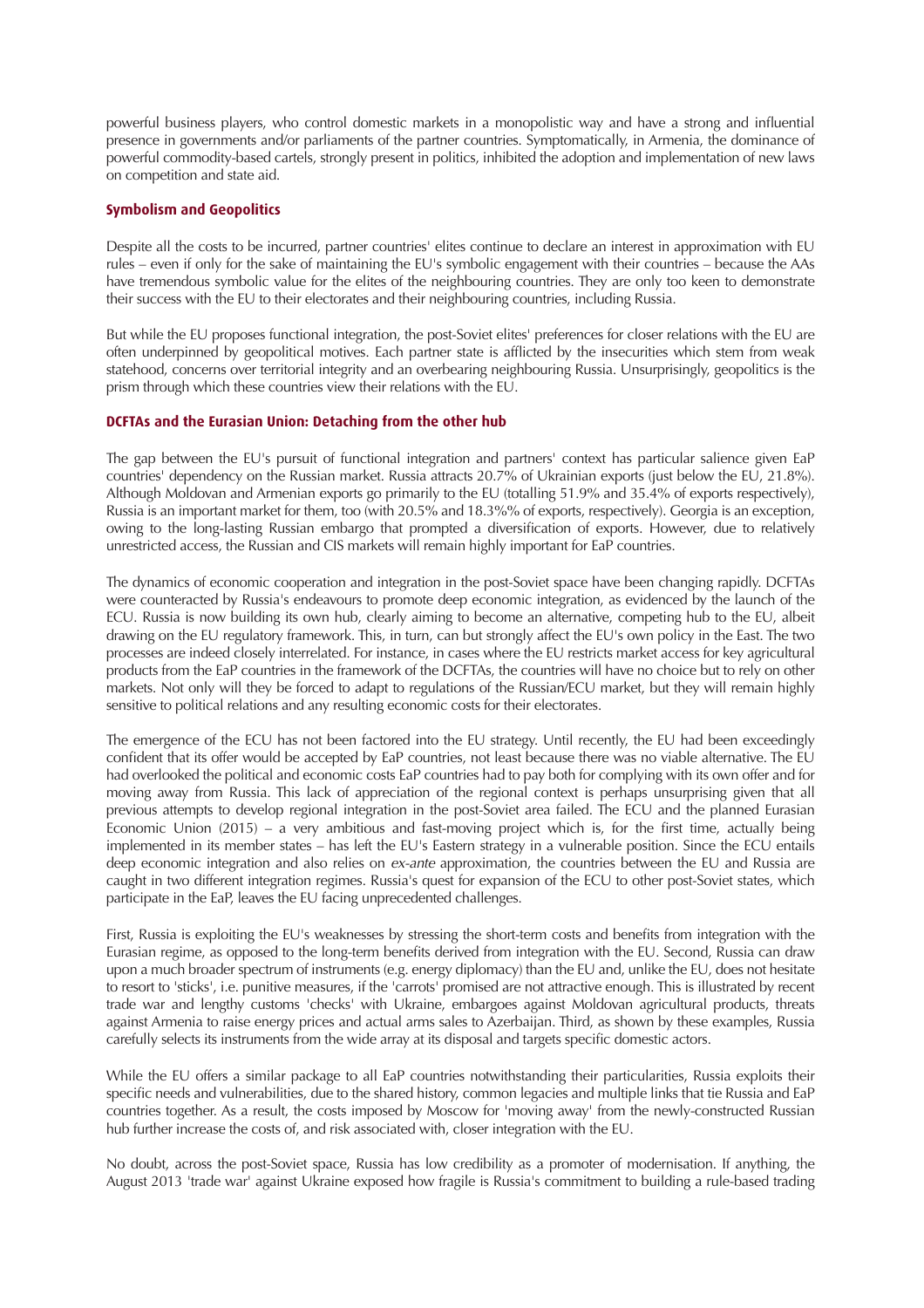powerful business players, who control domestic markets in a monopolistic way and have a strong and influential presence in governments and/or parliaments of the partner countries. Symptomatically, in Armenia, the dominance of powerful commodity-based cartels, strongly present in politics, inhibited the adoption and implementation of new laws on competition and state aid.

#### **Symbolism and Geopolitics**

Despite all the costs to be incurred, partner countries' elites continue to declare an interest in approximation with EU rules – even if only for the sake of maintaining the EU's symbolic engagement with their countries – because the AAs have tremendous symbolic value for the elites of the neighbouring countries. They are only too keen to demonstrate their success with the EU to their electorates and their neighbouring countries, including Russia.

But while the EU proposes functional integration, the post-Soviet elites' preferences for closer relations with the EU are often underpinned by geopolitical motives. Each partner state is afflicted by the insecurities which stem from weak statehood, concerns over territorial integrity and an overbearing neighbouring Russia. Unsurprisingly, geopolitics is the prism through which these countries view their relations with the EU.

#### **DCFTAs and the Eurasian Union: Detaching from the other hub**

The gap between the EU's pursuit of functional integration and partners' context has particular salience given EaP countries' dependency on the Russian market. Russia attracts 20.7% of Ukrainian exports (just below the EU, 21.8%). Although Moldovan and Armenian exports go primarily to the EU (totalling 51.9% and 35.4% of exports respectively), Russia is an important market for them, too (with 20.5% and 18.3%% of exports, respectively). Georgia is an exception, owing to the long-lasting Russian embargo that prompted a diversification of exports. However, due to relatively unrestricted access, the Russian and CIS markets will remain highly important for EaP countries.

The dynamics of economic cooperation and integration in the post-Soviet space have been changing rapidly. DCFTAs were counteracted by Russia's endeavours to promote deep economic integration, as evidenced by the launch of the ECU. Russia is now building its own hub, clearly aiming to become an alternative, competing hub to the EU, albeit drawing on the EU regulatory framework. This, in turn, can but strongly affect the EU's own policy in the East. The two processes are indeed closely interrelated. For instance, in cases where the EU restricts market access for key agricultural products from the EaP countries in the framework of the DCFTAs, the countries will have no choice but to rely on other markets. Not only will they be forced to adapt to regulations of the Russian/ECU market, but they will remain highly sensitive to political relations and any resulting economic costs for their electorates.

The emergence of the ECU has not been factored into the EU strategy. Until recently, the EU had been exceedingly confident that its offer would be accepted by EaP countries, not least because there was no viable alternative. The EU had overlooked the political and economic costs EaP countries had to pay both for complying with its own offer and for moving away from Russia. This lack of appreciation of the regional context is perhaps unsurprising given that all previous attempts to develop regional integration in the post-Soviet area failed. The ECU and the planned Eurasian Economic Union (2015) – a very ambitious and fast-moving project which is, for the first time, actually being implemented in its member states – has left the EU's Eastern strategy in a vulnerable position. Since the ECU entails deep economic integration and also relies on ex-ante approximation, the countries between the EU and Russia are caught in two different integration regimes. Russia's quest for expansion of the ECU to other post-Soviet states, which participate in the EaP, leaves the EU facing unprecedented challenges.

First, Russia is exploiting the EU's weaknesses by stressing the short-term costs and benefits from integration with the Eurasian regime, as opposed to the long-term benefits derived from integration with the EU. Second, Russia can draw upon a much broader spectrum of instruments (e.g. energy diplomacy) than the EU and, unlike the EU, does not hesitate to resort to 'sticks', i.e. punitive measures, if the 'carrots' promised are not attractive enough. This is illustrated by recent trade war and lengthy customs 'checks' with Ukraine, embargoes against Moldovan agricultural products, threats against Armenia to raise energy prices and actual arms sales to Azerbaijan. Third, as shown by these examples, Russia carefully selects its instruments from the wide array at its disposal and targets specific domestic actors.

While the EU offers a similar package to all EaP countries notwithstanding their particularities, Russia exploits their specific needs and vulnerabilities, due to the shared history, common legacies and multiple links that tie Russia and EaP countries together. As a result, the costs imposed by Moscow for 'moving away' from the newly-constructed Russian hub further increase the costs of, and risk associated with, closer integration with the EU.

No doubt, across the post-Soviet space, Russia has low credibility as a promoter of modernisation. If anything, the August 2013 'trade war' against Ukraine exposed how fragile is Russia's commitment to building a rule-based trading